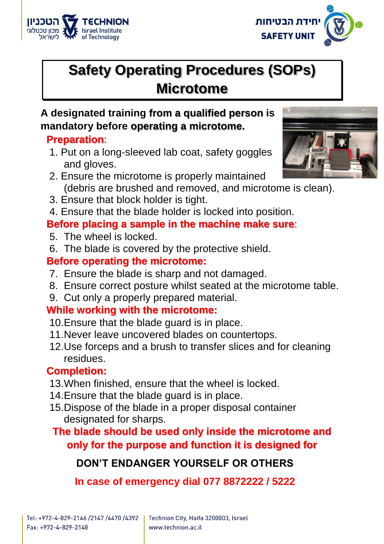



# **Safety Operating Procedures (SOPs) Microtome**

#### **A designated training from a qualified person is mandatory before operating a microtome.**

#### **Preparation**:

- 1. Put on a long-sleeved lab coat, safety goggles and gloves.
- 2. Ensure the microtome is properly maintained (debris are brushed and removed, and microtome is clean).
- 3. Ensure that block holder is tight.
- 4. Ensure that the blade holder is locked into position.

### **Before placing a sample in the machine make sure**:

- 5. The wheel is locked.
- 6. The blade is covered by the protective shield.

#### **Before operating the microtome:**

- 7. Ensure the blade is sharp and not damaged.
- 8. Ensure correct posture whilst seated at the microtome table.
- 9. Cut only a properly prepared material.

# **While working with the microtome:**

- 10.Ensure that the blade guard is in place.
- 11.Never leave uncovered blades on countertops.
- 12.Use forceps and a brush to transfer slices and for cleaning residues.

# **Completion:**

- 13.When finished, ensure that the wheel is locked.
- 14.Ensure that the blade guard is in place.
- 15.Dispose of the blade in a proper disposal container designated for sharps.

# **The blade should be used only inside the microtome and only for the purpose and function it is designed for**

# **DON'T ENDANGER YOURSELF OR OTHERS**

**In case of emergency dial 077 8872222 / 5222**